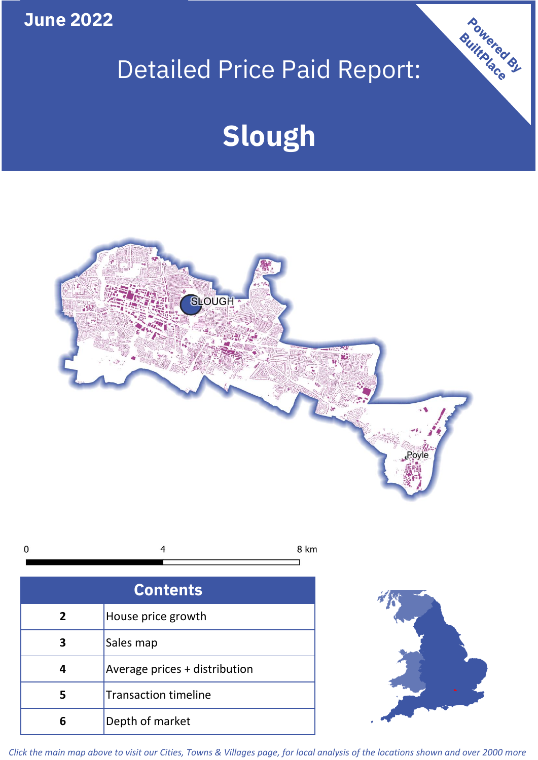**June 2022**

## Detailed Price Paid Report:

Powered By

# **Slough**



*Click the main map above to visit our Cities, Towns & Villages page, for local analysis of the locations shown and over 2000 more*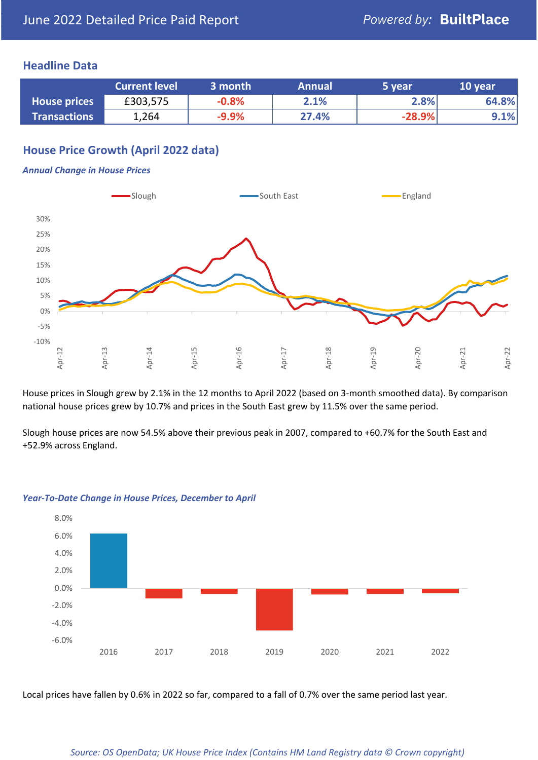### **Headline Data**

|                     | <b>Current level</b> | 3 month | <b>Annual</b> | 5 year   | 10 year |
|---------------------|----------------------|---------|---------------|----------|---------|
| <b>House prices</b> | £303,575             | $-0.8%$ | 2.1%          | 2.8%     | 64.8%   |
| <b>Transactions</b> | 1,264                | $-9.9%$ | 27.4%         | $-28.9%$ | $9.1\%$ |

## **House Price Growth (April 2022 data)**

#### *Annual Change in House Prices*



House prices in Slough grew by 2.1% in the 12 months to April 2022 (based on 3-month smoothed data). By comparison national house prices grew by 10.7% and prices in the South East grew by 11.5% over the same period.

Slough house prices are now 54.5% above their previous peak in 2007, compared to +60.7% for the South East and +52.9% across England.



#### *Year-To-Date Change in House Prices, December to April*

Local prices have fallen by 0.6% in 2022 so far, compared to a fall of 0.7% over the same period last year.

#### *Source: OS OpenData; UK House Price Index (Contains HM Land Registry data © Crown copyright)*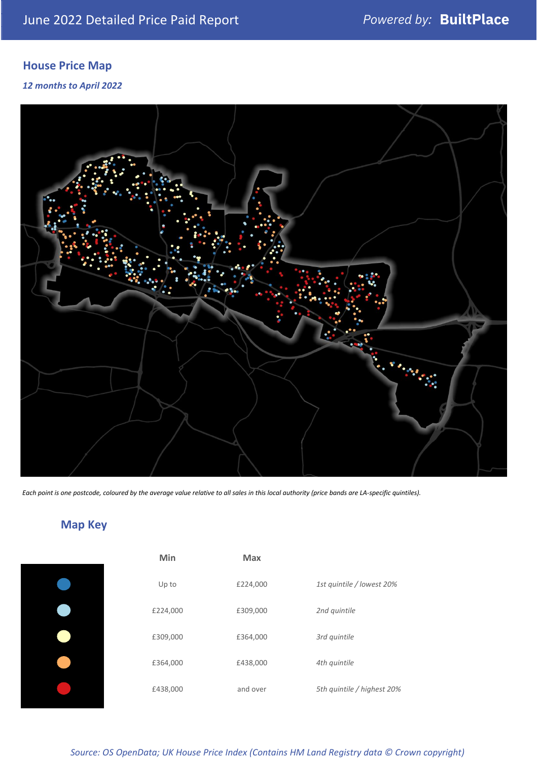## **House Price Map**

*12 months to April 2022*



*Each point is one postcode, coloured by the average value relative to all sales in this local authority (price bands are LA-specific quintiles).*

## **Map Key**

| Min      | Max      |                            |
|----------|----------|----------------------------|
| Up to    | £224,000 | 1st quintile / lowest 20%  |
| £224,000 | £309,000 | 2nd quintile               |
| £309,000 | £364,000 | 3rd quintile               |
| £364,000 | £438,000 | 4th quintile               |
| £438,000 | and over | 5th quintile / highest 20% |

## *Source: OS OpenData; UK House Price Index (Contains HM Land Registry data © Crown copyright)*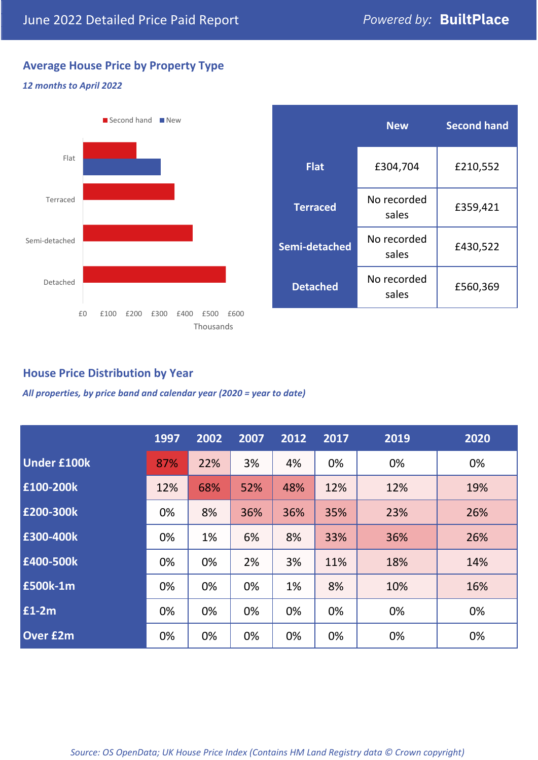## **Average House Price by Property Type**

#### *12 months to April 2022*



|                 | <b>New</b>           | <b>Second hand</b> |  |  |
|-----------------|----------------------|--------------------|--|--|
| <b>Flat</b>     | £304,704             | £210,552           |  |  |
| <b>Terraced</b> | No recorded<br>sales | £359,421           |  |  |
| Semi-detached   | No recorded<br>sales | £430,522           |  |  |
| <b>Detached</b> | No recorded<br>sales | £560,369           |  |  |

## **House Price Distribution by Year**

*All properties, by price band and calendar year (2020 = year to date)*

|                    | 1997 | 2002 | 2007 | 2012 | 2017 | 2019 | 2020 |
|--------------------|------|------|------|------|------|------|------|
| <b>Under £100k</b> | 87%  | 22%  | 3%   | 4%   | 0%   | 0%   | 0%   |
| £100-200k          | 12%  | 68%  | 52%  | 48%  | 12%  | 12%  | 19%  |
| E200-300k          | 0%   | 8%   | 36%  | 36%  | 35%  | 23%  | 26%  |
| £300-400k          | 0%   | 1%   | 6%   | 8%   | 33%  | 36%  | 26%  |
| £400-500k          | 0%   | 0%   | 2%   | 3%   | 11%  | 18%  | 14%  |
| <b>£500k-1m</b>    | 0%   | 0%   | 0%   | 1%   | 8%   | 10%  | 16%  |
| £1-2m              | 0%   | 0%   | 0%   | 0%   | 0%   | 0%   | 0%   |
| <b>Over £2m</b>    | 0%   | 0%   | 0%   | 0%   | 0%   | 0%   | 0%   |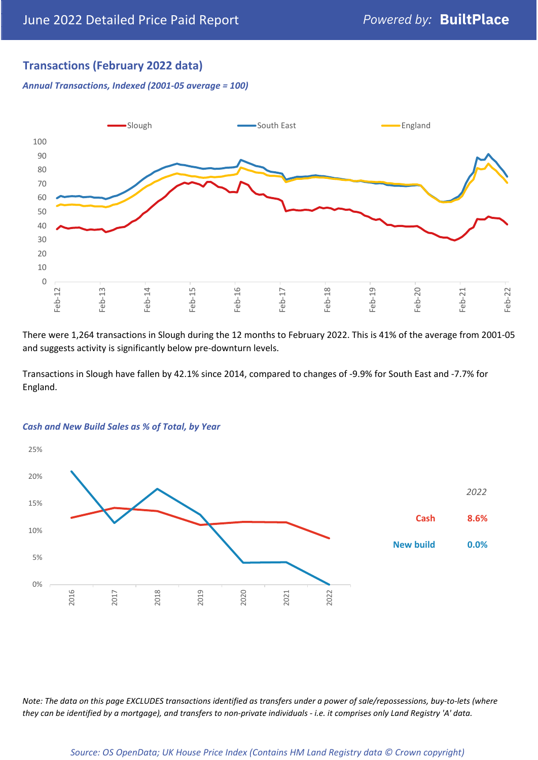## **Transactions (February 2022 data)**

*Annual Transactions, Indexed (2001-05 average = 100)*



There were 1,264 transactions in Slough during the 12 months to February 2022. This is 41% of the average from 2001-05 and suggests activity is significantly below pre-downturn levels.

Transactions in Slough have fallen by 42.1% since 2014, compared to changes of -9.9% for South East and -7.7% for England.



#### *Cash and New Build Sales as % of Total, by Year*

*Note: The data on this page EXCLUDES transactions identified as transfers under a power of sale/repossessions, buy-to-lets (where they can be identified by a mortgage), and transfers to non-private individuals - i.e. it comprises only Land Registry 'A' data.*